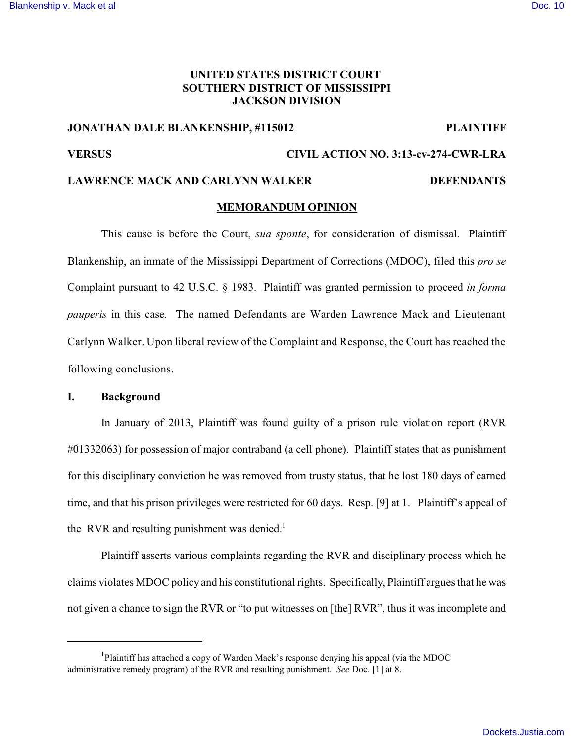# **UNITED STATES DISTRICT COURT SOUTHERN DISTRICT OF MISSISSIPPI JACKSON DIVISION**

# **JONATHAN DALE BLANKENSHIP, #115012 PLAINTIFF**

# **VERSUS CIVIL ACTION NO. 3:13-cv-274-CWR-LRA**

# LAWRENCE MACK AND CARLYNN WALKER **DEFENDANTS**

### **MEMORANDUM OPINION**

This cause is before the Court, *sua sponte*, for consideration of dismissal. Plaintiff Blankenship, an inmate of the Mississippi Department of Corrections (MDOC), filed this *pro se* Complaint pursuant to 42 U.S.C. § 1983. Plaintiff was granted permission to proceed *in forma pauperis* in this case. The named Defendants are Warden Lawrence Mack and Lieutenant Carlynn Walker. Upon liberal review of the Complaint and Response, the Court has reached the following conclusions.

#### **I. Background**

In January of 2013, Plaintiff was found guilty of a prison rule violation report (RVR #01332063) for possession of major contraband (a cell phone). Plaintiff states that as punishment for this disciplinary conviction he was removed from trusty status, that he lost 180 days of earned time, and that his prison privileges were restricted for 60 days. Resp. [9] at 1. Plaintiff's appeal of the RVR and resulting punishment was denied. $<sup>1</sup>$ </sup>

Plaintiff asserts various complaints regarding the RVR and disciplinary process which he claims violates MDOC policy and his constitutional rights. Specifically, Plaintiff argues that he was not given a chance to sign the RVR or "to put witnesses on [the] RVR", thus it was incomplete and

<sup>&</sup>lt;sup>1</sup>Plaintiff has attached a copy of Warden Mack's response denying his appeal (via the MDOC administrative remedy program) of the RVR and resulting punishment. *See* Doc. [1] at 8.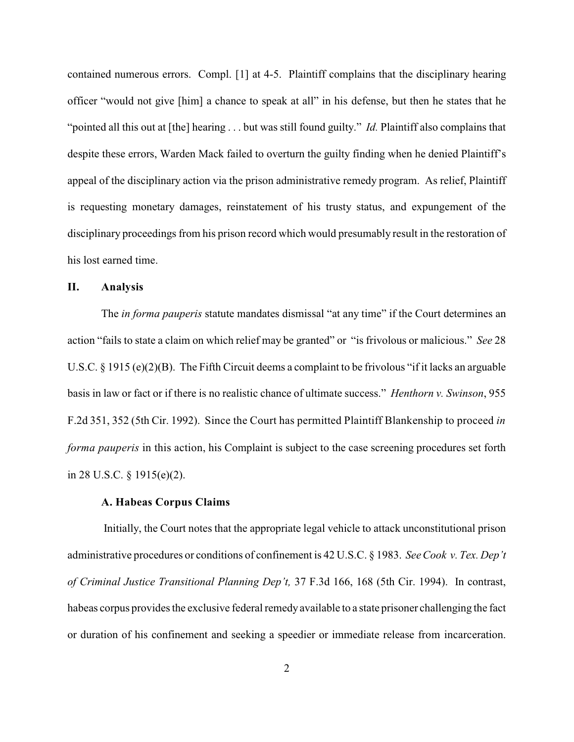contained numerous errors. Compl. [1] at 4-5. Plaintiff complains that the disciplinary hearing officer "would not give [him] a chance to speak at all" in his defense, but then he states that he "pointed all this out at [the] hearing ... but was still found guilty." *Id.* Plaintiff also complains that despite these errors, Warden Mack failed to overturn the guilty finding when he denied Plaintiff's appeal of the disciplinary action via the prison administrative remedy program. As relief, Plaintiff is requesting monetary damages, reinstatement of his trusty status, and expungement of the disciplinary proceedings from his prison record which would presumably result in the restoration of his lost earned time.

#### **II. Analysis**

The *in forma pauperis* statute mandates dismissal "at any time" if the Court determines an action "fails to state a claim on which relief may be granted" or "is frivolous or malicious." *See* 28 U.S.C. § 1915 (e)(2)(B). The Fifth Circuit deems a complaint to be frivolous "if it lacks an arguable basis in law or fact or if there is no realistic chance of ultimate success." *Henthorn v. Swinson*, 955 F.2d 351, 352 (5th Cir. 1992). Since the Court has permitted Plaintiff Blankenship to proceed *in forma pauperis* in this action, his Complaint is subject to the case screening procedures set forth in 28 U.S.C. § 1915(e)(2).

#### **A. Habeas Corpus Claims**

Initially, the Court notes that the appropriate legal vehicle to attack unconstitutional prison administrative procedures or conditions of confinement is 42 U.S.C. § 1983. *See Cook v. Tex. Dep't of Criminal Justice Transitional Planning Dep't,* 37 F.3d 166, 168 (5th Cir. 1994). In contrast, habeas corpus provides the exclusive federal remedy available to a state prisoner challenging the fact or duration of his confinement and seeking a speedier or immediate release from incarceration.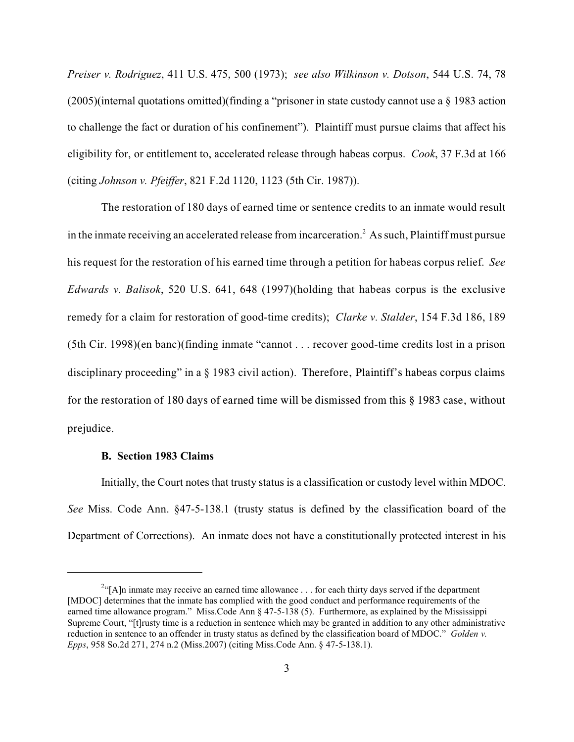*Preiser v. Rodriguez*, 411 U.S. 475, 500 (1973); *see also Wilkinson v. Dotson*, 544 U.S. 74, 78  $(2005)$ (internal quotations omitted)(finding a "prisoner in state custody cannot use a  $\S$  1983 action to challenge the fact or duration of his confinement"). Plaintiff must pursue claims that affect his eligibility for, or entitlement to, accelerated release through habeas corpus. *Cook*, 37 F.3d at 166 (citing *Johnson v. Pfeiffer*, 821 F.2d 1120, 1123 (5th Cir. 1987)).

The restoration of 180 days of earned time or sentence credits to an inmate would result in the inmate receiving an accelerated release from incarceration.<sup>2</sup> As such, Plaintiff must pursue his request for the restoration of his earned time through a petition for habeas corpus relief. *See Edwards v. Balisok*, 520 U.S. 641, 648 (1997)(holding that habeas corpus is the exclusive remedy for a claim for restoration of good-time credits); *Clarke v. Stalder*, 154 F.3d 186, 189 (5th Cir. 1998)(en banc)(finding inmate "cannot . . . recover good-time credits lost in a prison disciplinary proceeding" in a § 1983 civil action). Therefore, Plaintiff's habeas corpus claims for the restoration of 180 days of earned time will be dismissed from this § 1983 case, without prejudice.

#### **B. Section 1983 Claims**

Initially, the Court notes that trusty status is a classification or custody level within MDOC. *See* Miss. Code Ann. §47-5-138.1 (trusty status is defined by the classification board of the Department of Corrections). An inmate does not have a constitutionally protected interest in his

 $^{2}$ "[A]n inmate may receive an earned time allowance ... for each thirty days served if the department [MDOC] determines that the inmate has complied with the good conduct and performance requirements of the earned time allowance program." Miss.Code Ann § 47-5-138 (5). Furthermore, as explained by the Mississippi Supreme Court, "[t]rusty time is a reduction in sentence which may be granted in addition to any other administrative reduction in sentence to an offender in trusty status as defined by the classification board of MDOC." *Golden v. Epps*, 958 So.2d 271, 274 n.2 (Miss.2007) (citing Miss.Code Ann. § 47-5-138.1).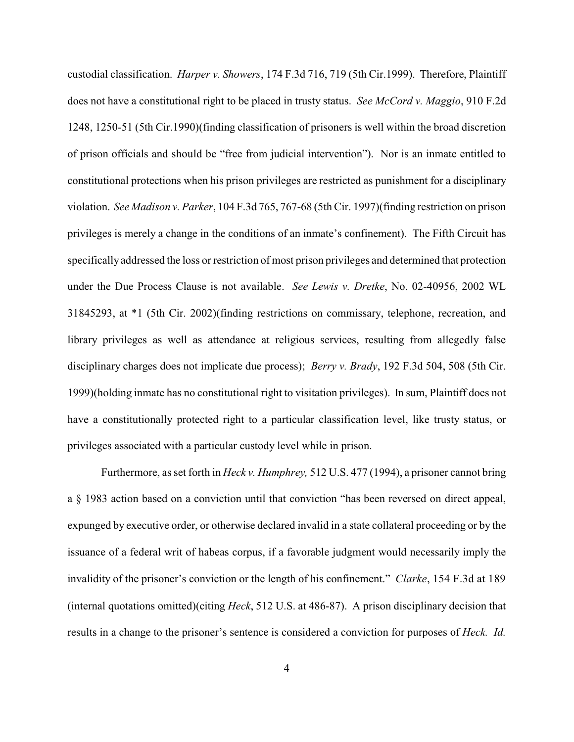custodial classification. *Harper v. Showers*, 174 F.3d 716, 719 (5th Cir.1999). Therefore, Plaintiff does not have a constitutional right to be placed in trusty status. *See McCord v. Maggio*, 910 F.2d 1248, 1250-51 (5th Cir.1990)(finding classification of prisoners is well within the broad discretion of prison officials and should be "free from judicial intervention"). Nor is an inmate entitled to constitutional protections when his prison privileges are restricted as punishment for a disciplinary violation. *See Madison v. Parker*, 104 F.3d 765, 767-68 (5th Cir. 1997)(finding restriction on prison privileges is merely a change in the conditions of an inmate's confinement). The Fifth Circuit has specifically addressed the loss or restriction of most prison privileges and determined that protection under the Due Process Clause is not available. *See Lewis v. Dretke*, No. 02-40956, 2002 WL 31845293, at \*1 (5th Cir. 2002)(finding restrictions on commissary, telephone, recreation, and library privileges as well as attendance at religious services, resulting from allegedly false disciplinary charges does not implicate due process); *Berry v. Brady*, 192 F.3d 504, 508 (5th Cir. 1999)(holding inmate has no constitutional right to visitation privileges). In sum, Plaintiff does not have a constitutionally protected right to a particular classification level, like trusty status, or privileges associated with a particular custody level while in prison.

Furthermore, as set forth in *Heck v. Humphrey,* 512 U.S. 477 (1994), a prisoner cannot bring a § 1983 action based on a conviction until that conviction "has been reversed on direct appeal, expunged by executive order, or otherwise declared invalid in a state collateral proceeding or by the issuance of a federal writ of habeas corpus, if a favorable judgment would necessarily imply the invalidity of the prisoner's conviction or the length of his confinement." *Clarke*, 154 F.3d at 189 (internal quotations omitted)(citing *Heck*, 512 U.S. at 486-87). A prison disciplinary decision that results in a change to the prisoner's sentence is considered a conviction for purposes of *Heck. Id.*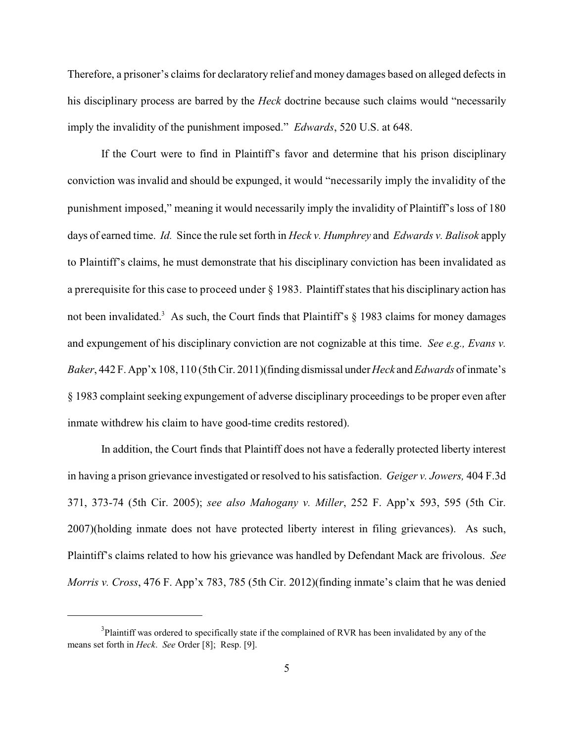Therefore, a prisoner's claims for declaratory relief and money damages based on alleged defects in his disciplinary process are barred by the *Heck* doctrine because such claims would "necessarily imply the invalidity of the punishment imposed." *Edwards*, 520 U.S. at 648.

If the Court were to find in Plaintiff's favor and determine that his prison disciplinary conviction was invalid and should be expunged, it would "necessarily imply the invalidity of the punishment imposed," meaning it would necessarily imply the invalidity of Plaintiff's loss of 180 days of earned time. *Id.* Since the rule set forth in *Heck v. Humphrey* and *Edwards v. Balisok* apply to Plaintiff's claims, he must demonstrate that his disciplinary conviction has been invalidated as a prerequisite for this case to proceed under § 1983. Plaintiff states that his disciplinary action has not been invalidated.<sup>3</sup> As such, the Court finds that Plaintiff's  $\S$  1983 claims for money damages and expungement of his disciplinary conviction are not cognizable at this time. *See e.g., Evans v. Baker*, 442 F. App'x 108, 110 (5th Cir. 2011)(finding dismissal under *Heck* and *Edwards* of inmate's § 1983 complaint seeking expungement of adverse disciplinary proceedings to be proper even after inmate withdrew his claim to have good-time credits restored).

In addition, the Court finds that Plaintiff does not have a federally protected liberty interest in having a prison grievance investigated or resolved to his satisfaction. *Geiger v. Jowers,* 404 F.3d 371, 373-74 (5th Cir. 2005); *see also Mahogany v. Miller*, 252 F. App'x 593, 595 (5th Cir. 2007)(holding inmate does not have protected liberty interest in filing grievances). As such, Plaintiff's claims related to how his grievance was handled by Defendant Mack are frivolous. *See Morris v. Cross*, 476 F. App'x 783, 785 (5th Cir. 2012)(finding inmate's claim that he was denied

 ${}^{3}$ Plaintiff was ordered to specifically state if the complained of RVR has been invalidated by any of the means set forth in *Heck*. *See* Order [8]; Resp. [9].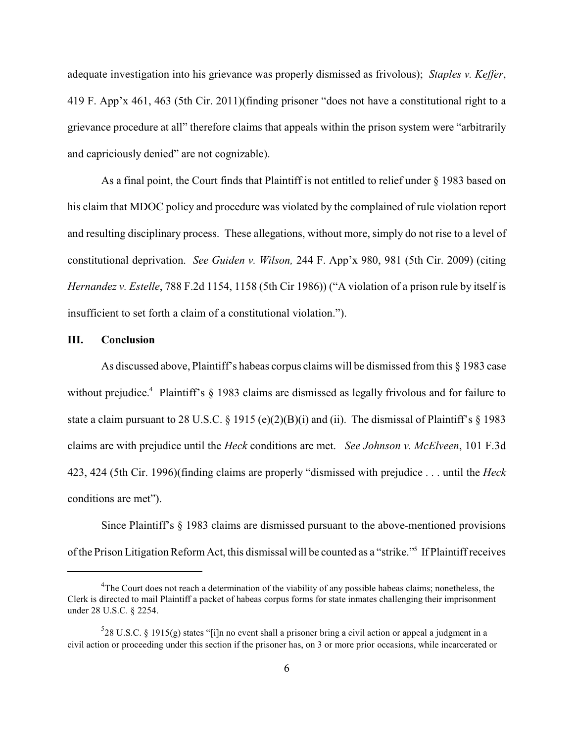adequate investigation into his grievance was properly dismissed as frivolous); *Staples v. Keffer*, 419 F. App'x 461, 463 (5th Cir. 2011)(finding prisoner "does not have a constitutional right to a grievance procedure at all" therefore claims that appeals within the prison system were "arbitrarily and capriciously denied" are not cognizable).

As a final point, the Court finds that Plaintiff is not entitled to relief under § 1983 based on his claim that MDOC policy and procedure was violated by the complained of rule violation report and resulting disciplinary process. These allegations, without more, simply do not rise to a level of constitutional deprivation. *See Guiden v. Wilson,* 244 F. App'x 980, 981 (5th Cir. 2009) (citing *Hernandez v. Estelle*, 788 F.2d 1154, 1158 (5th Cir 1986)) ("A violation of a prison rule by itself is insufficient to set forth a claim of a constitutional violation.").

# **III. Conclusion**

As discussed above, Plaintiff's habeas corpus claims will be dismissed from this § 1983 case without prejudice.<sup>4</sup> Plaintiff's  $\S$  1983 claims are dismissed as legally frivolous and for failure to state a claim pursuant to 28 U.S.C. § 1915 (e)(2)(B)(i) and (ii). The dismissal of Plaintiff's § 1983 claims are with prejudice until the *Heck* conditions are met. *See Johnson v. McElveen*, 101 F.3d 423, 424 (5th Cir. 1996)(finding claims are properly "dismissed with prejudice . . . until the *Heck* conditions are met").

Since Plaintiff's § 1983 claims are dismissed pursuant to the above-mentioned provisions of the Prison Litigation Reform Act, this dismissal will be counted as a "strike." If Plaintiff receives

 $^{4}$ The Court does not reach a determination of the viability of any possible habeas claims; nonetheless, the Clerk is directed to mail Plaintiff a packet of habeas corpus forms for state inmates challenging their imprisonment under 28 U.S.C. § 2254.

 $28 \text{ U.S.C. }$  § 1915(g) states "[i]n no event shall a prisoner bring a civil action or appeal a judgment in a civil action or proceeding under this section if the prisoner has, on 3 or more prior occasions, while incarcerated or